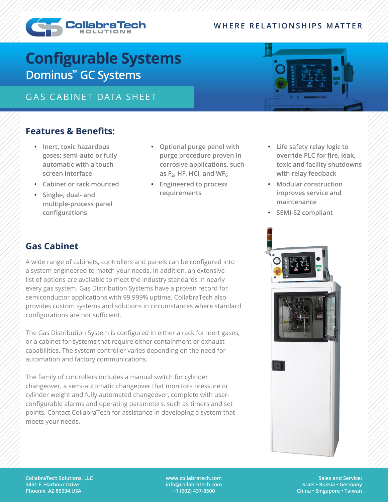### **WHERE RELATIONSHIPS MATTER**



# **Configurable Systems Dominus™ GC Systems**

GAS CABINET DATA SHEET

### **Features & Benefits:**

- **• Inert, toxic hazardous gases; semi-auto or fully automatic with a touchscreen interface**
- **• Cabinet or rack mounted**
- **• Single-, dual- and multiple-process panel configurations**
- **• Optional purge panel with purge procedure proven in corrosive applications, such**  as  $F_2$ , HF, HCl, and WF<sub>6</sub>
- **• Engineered to process requirements**



- **• Life safety relay logic to override PLC for fire, leak, toxic and facility shutdowns with relay feedback**
- **• Modular construction improves service and maintenance**
- **• SEMI-S2 compliant**

### **Gas Cabinet**

A wide range of cabinets, controllers and panels can be configured into a system engineered to match your needs. In addition, an extensive list of options are available to meet the industry standards in nearly every gas system. Gas Distribution Systems have a proven record for semiconductor applications with 99.999% uptime. CollabraTech also provides custom systems and solutions in circumstances where standard configurations are not sufficient.

The Gas Distribution System is configured in either a rack for inert gases, or a cabinet for systems that require either containment or exhaust capabilities. The system controller varies depending on the need for automation and factory communications.

The family of controllers includes a manual switch for cylinder changeover, a semi-automatic changeover that monitors pressure or cylinder weight and fully automated changeover, complete with userconfigurable alarms and operating parameters, such as timers and set points. Contact CollabraTech for assistance in developing a system that meets your needs.



**CollabraTech Solutions, LLC 3451 E. Harbour Drive Phoenix, AZ 85034 USA**

**www.collabratech.com info@collabratech.com +1 (602) 437-8500**

**Sales and Service: Israel • Russia • Germany China • Singapore • Taiwan**